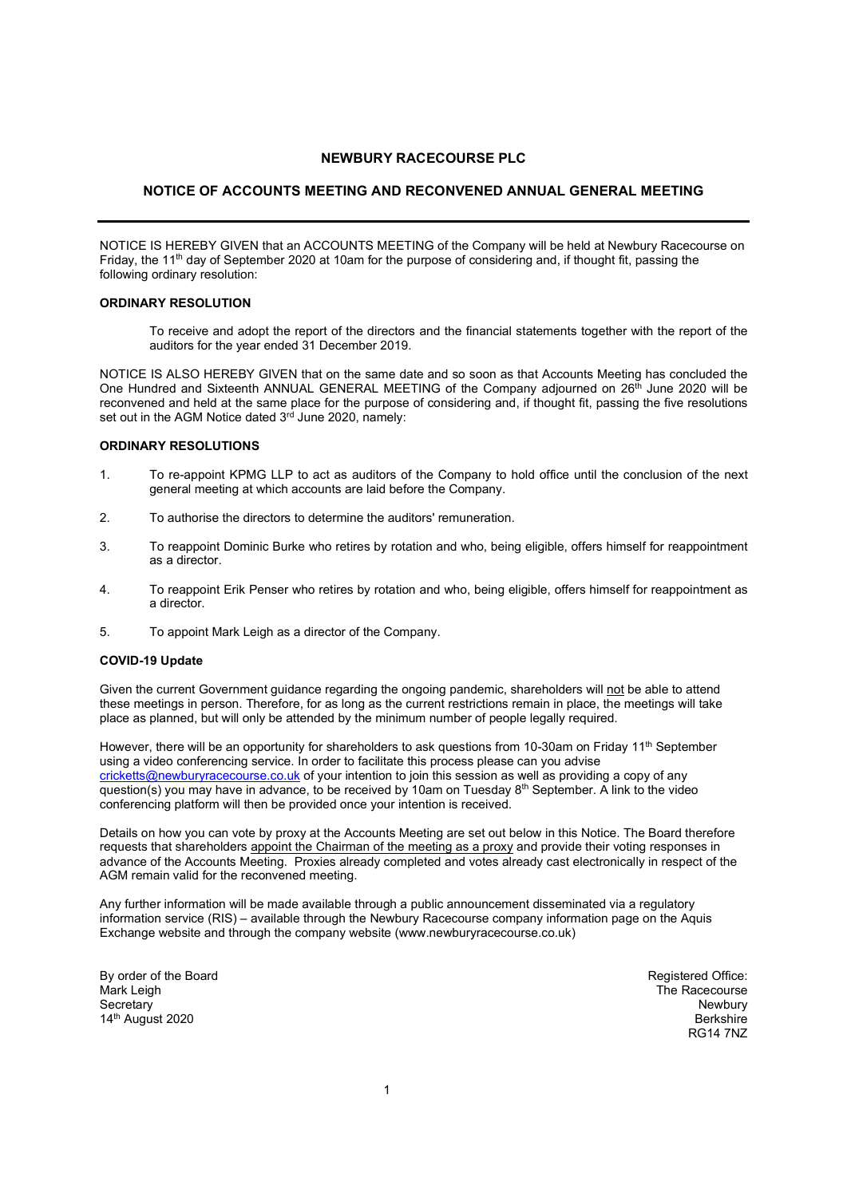# NEWBURY RACECOURSE PLC

## NOTICE OF ACCOUNTS MEETING AND RECONVENED ANNUAL GENERAL MEETING

NOTICE IS HEREBY GIVEN that an ACCOUNTS MEETING of the Company will be held at Newbury Racecourse on Friday, the 11th day of September 2020 at 10am for the purpose of considering and, if thought fit, passing the following ordinary resolution:

## ORDINARY RESOLUTION

 To receive and adopt the report of the directors and the financial statements together with the report of the auditors for the year ended 31 December 2019.

NOTICE IS ALSO HEREBY GIVEN that on the same date and so soon as that Accounts Meeting has concluded the One Hundred and Sixteenth ANNUAL GENERAL MEETING of the Company adjourned on 26<sup>th</sup> June 2020 will be reconvened and held at the same place for the purpose of considering and, if thought fit, passing the five resolutions set out in the AGM Notice dated 3rd June 2020, namely:

#### ORDINARY RESOLUTIONS

- 1. To re-appoint KPMG LLP to act as auditors of the Company to hold office until the conclusion of the next general meeting at which accounts are laid before the Company.
- 2. To authorise the directors to determine the auditors' remuneration.
- 3. To reappoint Dominic Burke who retires by rotation and who, being eligible, offers himself for reappointment as a director.
- 4. To reappoint Erik Penser who retires by rotation and who, being eligible, offers himself for reappointment as a director.
- 5. To appoint Mark Leigh as a director of the Company.

### COVID-19 Update

Given the current Government guidance regarding the ongoing pandemic, shareholders will not be able to attend these meetings in person. Therefore, for as long as the current restrictions remain in place, the meetings will take place as planned, but will only be attended by the minimum number of people legally required.

However, there will be an opportunity for shareholders to ask questions from 10-30am on Friday 11<sup>th</sup> September using a video conferencing service. In order to facilitate this process please can you advise cricketts@newburyracecourse.co.uk of your intention to join this session as well as providing a copy of any question(s) you may have in advance, to be received by 10am on Tuesday 8<sup>th</sup> September. A link to the video conferencing platform will then be provided once your intention is received.

Details on how you can vote by proxy at the Accounts Meeting are set out below in this Notice. The Board therefore requests that shareholders appoint the Chairman of the meeting as a proxy and provide their voting responses in advance of the Accounts Meeting. Proxies already completed and votes already cast electronically in respect of the AGM remain valid for the reconvened meeting.

Any further information will be made available through a public announcement disseminated via a regulatory information service (RIS) – available through the Newbury Racecourse company information page on the Aquis Exchange website and through the company website (www.newburyracecourse.co.uk)

By order of the Board Mark Leigh **Secretary** 14<sup>th</sup> August 2020

Registered Office: The Racecourse Newbury **Berkshire** RG14 7NZ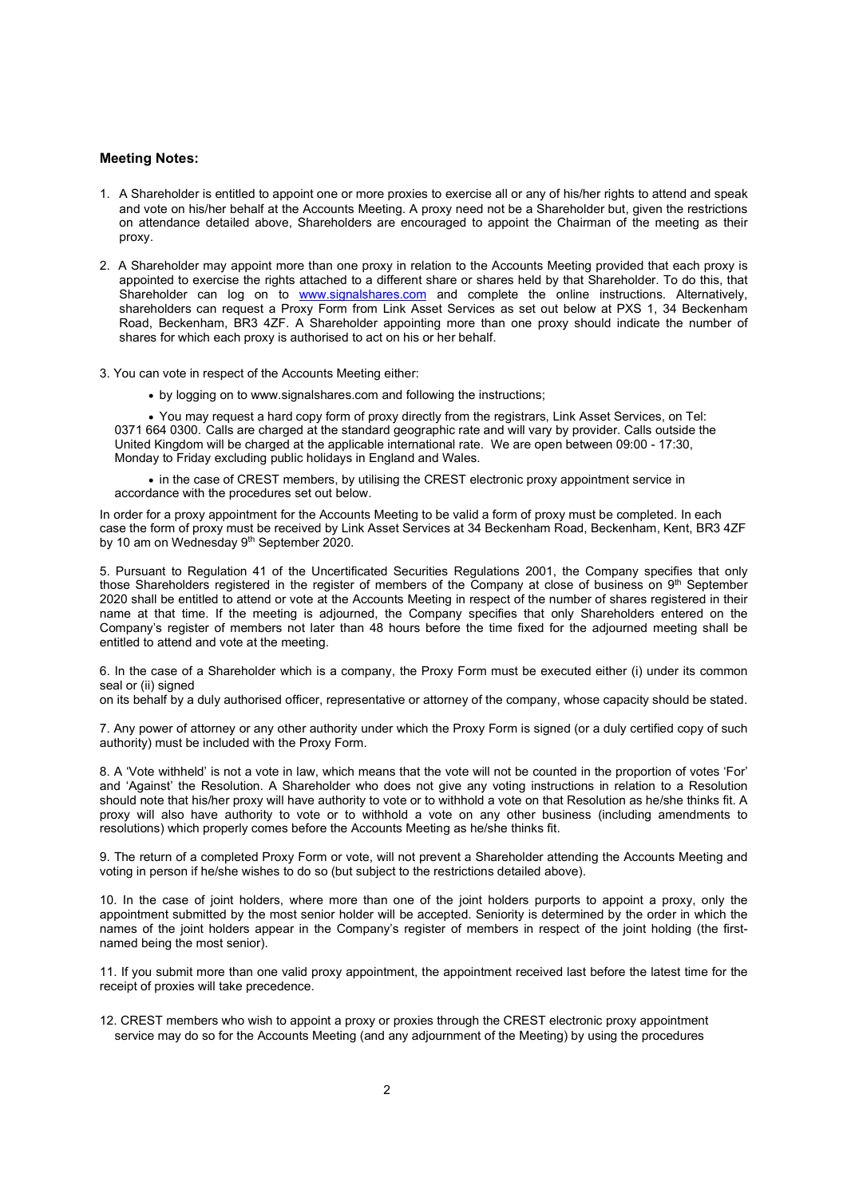#### Meeting Notes:

- 1. A Shareholder is entitled to appoint one or more proxies to exercise all or any of his/her rights to attend and speak and vote on his/her behalf at the Accounts Meeting. A proxy need not be a Shareholder but, given the restrictions on attendance detailed above, Shareholders are encouraged to appoint the Chairman of the meeting as their proxy.
- 2. A Shareholder may appoint more than one proxy in relation to the Accounts Meeting provided that each proxy is appointed to exercise the rights attached to a different share or shares held by that Shareholder. To do this, that Shareholder can log on to www.signalshares.com and complete the online instructions. Alternatively, shareholders can request a Proxy Form from Link Asset Services as set out below at PXS 1, 34 Beckenham Road, Beckenham, BR3 4ZF. A Shareholder appointing more than one proxy should indicate the number of shares for which each proxy is authorised to act on his or her behalf.
- 3. You can vote in respect of the Accounts Meeting either:
	- by logging on to www.signalshares.com and following the instructions;

 You may request a hard copy form of proxy directly from the registrars, Link Asset Services, on Tel: 0371 664 0300. Calls are charged at the standard geographic rate and will vary by provider. Calls outside the United Kingdom will be charged at the applicable international rate. We are open between 09:00 - 17:30, Monday to Friday excluding public holidays in England and Wales.

 in the case of CREST members, by utilising the CREST electronic proxy appointment service in accordance with the procedures set out below.

In order for a proxy appointment for the Accounts Meeting to be valid a form of proxy must be completed. In each case the form of proxy must be received by Link Asset Services at 34 Beckenham Road, Beckenham, Kent, BR3 4ZF by 10 am on Wednesday 9<sup>th</sup> September 2020.

5. Pursuant to Regulation 41 of the Uncertificated Securities Regulations 2001, the Company specifies that only those Shareholders registered in the register of members of the Company at close of business on 9<sup>th</sup> September 2020 shall be entitled to attend or vote at the Accounts Meeting in respect of the number of shares registered in their name at that time. If the meeting is adjourned, the Company specifies that only Shareholders entered on the Company's register of members not later than 48 hours before the time fixed for the adjourned meeting shall be entitled to attend and vote at the meeting.

6. In the case of a Shareholder which is a company, the Proxy Form must be executed either (i) under its common seal or (ii) signed

on its behalf by a duly authorised officer, representative or attorney of the company, whose capacity should be stated.

7. Any power of attorney or any other authority under which the Proxy Form is signed (or a duly certified copy of such authority) must be included with the Proxy Form.

8. A 'Vote withheld' is not a vote in law, which means that the vote will not be counted in the proportion of votes 'For' and 'Against' the Resolution. A Shareholder who does not give any voting instructions in relation to a Resolution should note that his/her proxy will have authority to vote or to withhold a vote on that Resolution as he/she thinks fit. A proxy will also have authority to vote or to withhold a vote on any other business (including amendments to resolutions) which properly comes before the Accounts Meeting as he/she thinks fit.

9. The return of a completed Proxy Form or vote, will not prevent a Shareholder attending the Accounts Meeting and voting in person if he/she wishes to do so (but subject to the restrictions detailed above).

10. In the case of joint holders, where more than one of the joint holders purports to appoint a proxy, only the appointment submitted by the most senior holder will be accepted. Seniority is determined by the order in which the names of the joint holders appear in the Company's register of members in respect of the joint holding (the firstnamed being the most senior).

11. If you submit more than one valid proxy appointment, the appointment received last before the latest time for the receipt of proxies will take precedence.

12. CREST members who wish to appoint a proxy or proxies through the CREST electronic proxy appointment service may do so for the Accounts Meeting (and any adjournment of the Meeting) by using the procedures